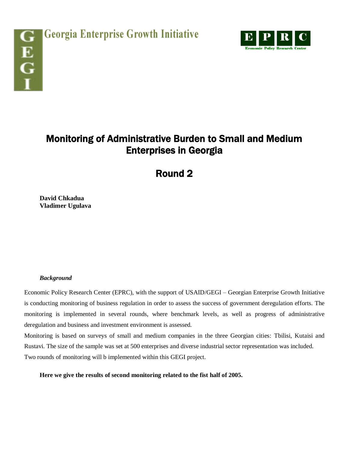

## Monitoring of Administrative Burden to Small and Medium Enterprises in Georgia

Round 2

**David Chkadua Vladimer Ugulava**

## *Background*

Economic Policy Research Center (EPRC), with the support of USAID/GEGI – Georgian Enterprise Growth Initiative is conducting monitoring of business regulation in order to assess the success of government deregulation efforts. The monitoring is implemented in several rounds, where benchmark levels, as well as progress of administrative deregulation and business and investment environment is assessed.

Monitoring is based on surveys of small and medium companies in the three Georgian cities: Tbilisi, Kutaisi and Rustavi. The size of the sample was set at 500 enterprises and diverse industrial sector representation was included. Two rounds of monitoring will b implemented within this GEGI project.

**Here we give the results of second monitoring related to the fist half of 2005.**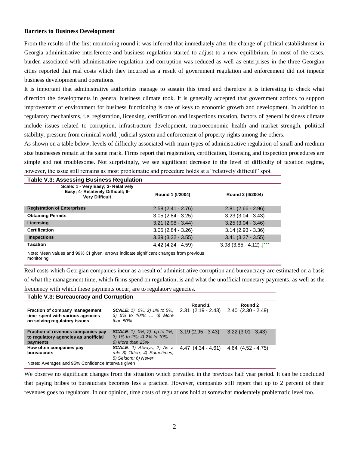## **Barriers to Business Development**

From the results of the first monitoring round it was inferred that immediately after the change of political establishment in Georgia administrative interference and business regulation started to adjust to a new equilibrium. In most of the cases, burden associated with administrative regulation and corruption was reduced as well as enterprises in the three Georgian cities reported that real costs which they incurred as a result of government regulation and enforcement did not impede business development and operations.

It is important that administrative authorities manage to sustain this trend and therefore it is interesting to check what direction the developments in general business climate took. It is generally accepted that government actions to support improvement of environment for business functioning is one of keys to economic growth and development. In addition to regulatory mechanisms, i.e. registration, licensing, certification and inspections taxation, factors of general business climate include issues related to corruption, infrastructure development, macroeconomic health and market strength, political stability, pressure from criminal world, judicial system and enforcement of property rights among the others.

As shown on a table below, levels of difficulty associated with main types of administrative regulation of small and medium size businesses remain at the same mark. Firms report that registration, certification, licensing and inspection procedures are simple and not troublesome. Not surprisingly, we see significant decrease in the level of difficulty of taxation regime, however, the issue still remains as most problematic and procedure holds at a "relatively difficult" spot.

| <b>Table V.3: Assessing Business Regulation</b>                                                   |                     |                                     |  |  |
|---------------------------------------------------------------------------------------------------|---------------------|-------------------------------------|--|--|
| Scale: 1 - Very Easy; 3- Relatively<br>Easy: 4- Relatively Difficult: 6-<br><b>Very Difficult</b> | Round 1 (I/2004)    | Round 2 (II/2004)                   |  |  |
| <b>Registration of Enterprises</b>                                                                | $2.58(2.41 - 2.76)$ | $2.81(2.66 - 2.96)$                 |  |  |
| <b>Obtaining Permits</b>                                                                          | $3.05(2.84 - 3.25)$ | $3.23(3.04 - 3.43)$                 |  |  |
| Licensing                                                                                         | $3.21(2.98 - 3.44)$ | $3.25(3.04 - 3.46)$                 |  |  |
| <b>Certification</b>                                                                              | $3.05(2.84 - 3.26)$ | $3.14(2.93 - 3.36)$                 |  |  |
| <b>Inspections</b>                                                                                | $3.39(3.22 - 3.55)$ | $3.41$ (3.27 - 3.55)                |  |  |
| <b>Taxation</b>                                                                                   | $4.42(4.24 - 4.59)$ | 3.98 (3.85 - 4.12) $\downarrow$ *** |  |  |
| Note: Mean values and 99% CL given arrows indicate significant changes from previous              |                     |                                     |  |  |

Note: Mean values and 99% CI given, arrows indicate significant changes from previous monitoring

Real costs which Georgian companies incur as a result of administrative corruption and bureaucracy are estimated on a basis of what the management time, which firms spend on regulation, is and what the unofficial monetary payments, as well as the

frequency with which these payments occur, are to regulatory agencies.

| Table V.3: Bureaucracy and Corruption                                                              |                                                                                                      |                                                          |                     |
|----------------------------------------------------------------------------------------------------|------------------------------------------------------------------------------------------------------|----------------------------------------------------------|---------------------|
| Fraction of company management<br>time spent with various agencies<br>on solving regulatory issues | <b>SCALE</b> : 1) $0\%$ ; 2) 1% to 5%;<br>3) 6% to 10%;  6) More<br>than $50\%$                      | Round 1<br>$2.31$ $(2.19 - 2.43)$ $2.40$ $(2.30 - 2.49)$ | Round 2             |
| Fraction of revenues companies pay<br>to regulatory agencies as unofficial<br>payments             | <b>SCALE</b> : 1) $0\%$ ; 2) up to 1%;<br>3) $1\%$ to $2\%$ ; 4) $2\%$ to $10\%$<br>6) More than 25% | $3.19(2.95 - 3.43)$                                      | $3.22(3.01 - 3.43)$ |
| How often companies pay<br>bureaucrats                                                             | $SCALE: 1)$ Always; 2) As a<br>rule 3) Often; 4) Sometimes;<br>5) Seldom; 6) Never                   | 4.47 $(4.34 - 4.61)$ 4.64 $(4.52 - 4.75)$                |                     |
| Notes: Averages and 95% Confidence Intervals given                                                 |                                                                                                      |                                                          |                     |

We observe no significant changes from the situation which prevailed in the previous half year period. It can be concluded that paying bribes to bureaucrats becomes less a practice. However, companies still report that up to 2 percent of their revenues goes to regulators. In our opinion, time costs of regulations hold at somewhat moderately problematic level too.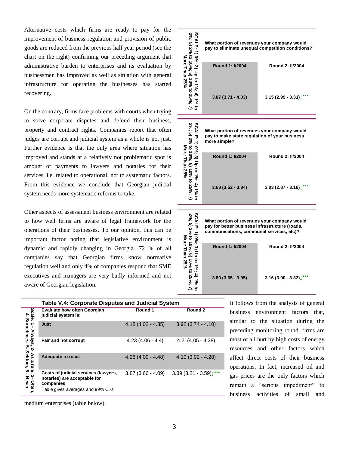Alternative costs which firms are ready to pay for the improvement of business regulation and provision of public goods are reduced from the previous half year period (see the chart on the right) confirming our preceding argument that administrative burden to enterprises and its evaluation by businessmen has improved as well as situation with general infrastructure for operating the businesses has started recovering.

On the contrary, firms face problems with courts when trying to solve corporate disputes and defend their business, property and contract rights. Companies report that often judges are corrupt and judicial system as a whole is not just. Further evidence is that the only area where situation has improved and stands at a relatively not problematic spot is amount of payments to lawyers and notaries for their services, i.e. related to operational, not to systematic factors. From this evidence we conclude that Georgian judicial system needs more systematic reforms to take.

Other aspects of assessment business environment are related to how well firms are aware of legal framework for the operations of their businesses. To our opinion, this can be important factor noting that legislative environment is dynamic and rapidly changing in Georgia. 72 % of all companies say that Georgian firms know normative regulation well and only 4% of companies respond that SME executives and managers are very badly informed and not aware of Georgian legislation.

|                                                                                                                                           | What portion of revenues your company would<br>pay to eliminate unequal competition conditions?              |                                                             |  |
|-------------------------------------------------------------------------------------------------------------------------------------------|--------------------------------------------------------------------------------------------------------------|-------------------------------------------------------------|--|
| CALE: 1) 0%; 3) Up to 1%; 4) 1% to<br>%; 5) 2% to 10%; 6) 10% to 25%; 7)<br>) 0%; 3) Up to 1%; 4) 1%<br>More Than 25%                     | <b>Round 1: I/2004</b>                                                                                       | <b>Round 2: II/2004</b>                                     |  |
|                                                                                                                                           | $3.87(3.71 - 4.03)$                                                                                          | $3.15(2.99 - 3.31)\sqrt{***}$                               |  |
|                                                                                                                                           | What portion of revenues your company would<br>pay to make state regulation of your business<br>more simple? |                                                             |  |
| SCALE: 1) 0%; 3) Up to 1%; 4) 1%<br>o-v-h-LE: 1) טיז (2) טון טון (3) אין גריס<br>2%; 5) 2% to 10%; 6) 10% to 25%; 7)<br>More Than 25%     | <b>Round 1: I/2004</b><br>$3.68(3.52 - 3.84)$                                                                | <b>Round 2: II/2004</b><br>$3.03(2.87 - 3.18)^{\text{***}}$ |  |
|                                                                                                                                           |                                                                                                              |                                                             |  |
| What portion of revenues your company would<br>pay for better business infrastructure (roads,<br>communications, communal services, etc)? |                                                                                                              |                                                             |  |
| 2%; 5) 2% to 10%; 6) 10% to 25%<br>More Than 25%<br>0%; 3) Up to 1%;                                                                      | Round 1: I/2004                                                                                              | <b>Round 2: II/2004</b>                                     |  |
| రె                                                                                                                                        | $3.80(3.65 - 3.95)$                                                                                          | $3.16(3.00 - 3.32)\downarrow***$                            |  |

|                                       | Table V.4: Corporate Disputes and Judicial System                                 |                     |                     |  |
|---------------------------------------|-----------------------------------------------------------------------------------|---------------------|---------------------|--|
|                                       | <b>Evaluate how often Georgian</b><br>judicial system is:                         | Round 1             | Round 2             |  |
| Scale: 1 - Always;<br>4- Sometimes, ! | Just                                                                              | $4.18(4.02 - 4.35)$ | $3.92(3.74 - 4.10)$ |  |
| ပှာ<br>ٻ                              | Fair and not corrupt                                                              | $4.23(4.06 - 4.4)$  | $4.21(4.05 - 4.38)$ |  |
|                                       | <b>Adequate to react</b>                                                          | $4.28(4.09 - 4.48)$ | $4.10(3.92 - 4.28)$ |  |
| 3- Often;<br>- Never                  | Costs of judicial services (lawyers,<br>notaries) are acceptable for<br>companies | $3.87(3.66 - 4.09)$ | $3.39(3.21 - 3.59)$ |  |
|                                       | Table gives averages and 99% CI-s                                                 |                     |                     |  |

It follows from the analysis of general business environment factors that, similar to the situation during the preceding monitoring round, firms are most of all hurt by high costs of energy resources and other factors which affect direct costs of their business operations. In fact, increased oil and gas prices are the only factors which remain a "serious impediment" to business activities of small and

medium enterprises (table below).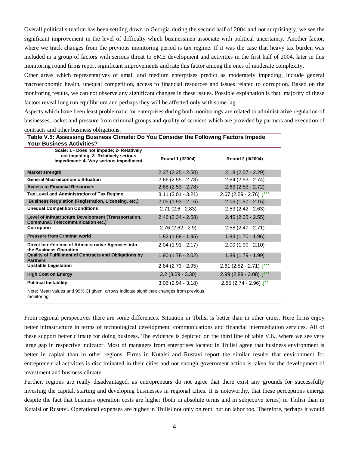Overall political situation has been settling down in Georgia during the second half of 2004 and not surprisingly, we see the significant improvement in the level of difficulty which businessmen associate with political uncertainty. Another factor, where we track changes from the previous monitoring period is tax regime. If it was the case that heavy tax burden was included in a group of factors with serious threat to SME development and activities in the first half of 2004, later in this monitoring round firms report significant improvements and rate this factor among the ones of moderate complexity.

Other areas which representatives of small and medium enterprises predict as moderately impeding, include general macroeconomic health, unequal competition, access to financial resources and issues related to corruption. Based on the monitoring results, we can not observe any significant changes in these issues. Possible explanation is that, majority of these factors reveal long run equilibrium and perhaps they will be affected only with some lag.

Aspects which have been least problematic for enterprises during both monitorings are related to administrative regulation of businesses, racket and pressure from criminal groups and quality of services which are provided by partners and execution of contracts and other business obligations.

| Table V.5: Assessing Business Climate: Do You Consider the Following Factors Impede<br><b>Your Business Activities?</b>    |                      |                                       |  |  |
|----------------------------------------------------------------------------------------------------------------------------|----------------------|---------------------------------------|--|--|
| Scale: 1 - Does not impede; 2- Relatively<br>not impeding; 3- Relatively serious<br>impediment; 4- Very serious impediment | Round 1 (I/2004)     | Round 2 (II/2004)                     |  |  |
| <b>Market strength</b>                                                                                                     | $2.37(2.25 - 2.50)$  | $2.18(2.07 - 2.29)$                   |  |  |
| <b>General Macroeconomic Situation</b>                                                                                     | $2.66$ (2.55 - 2.78) | $2.64(2.53 - 2.74)$                   |  |  |
| <b>Access to Financial Resources</b>                                                                                       | $2.65$ (2.53 - 2.78) | $2.63(2.53 - 2.72)$                   |  |  |
| Tax Level and Administration of Tax Regime                                                                                 | $3.11(3.01 - 3.21)$  | $2.67$ (2.59 - 2.76) $\downarrow$ *** |  |  |
| <b>Business Regulation (Registration, Licensing, etc.)</b>                                                                 | $2.05(1.93 - 2.16)$  | $2.06(1.97 - 2.15)$                   |  |  |
| <b>Unequal Competition Conditions</b>                                                                                      | $2.71(2.6 - 2.83)$   | $2.53(2.42 - 2.63)$                   |  |  |
| Level of Infrastructure Development (Transportation,<br><b>Communal, Telecommunication etc.)</b>                           | $2.46(2.34 - 2.58)$  | $2.45(2.35 - 2.55)$                   |  |  |
| Corruption                                                                                                                 | $2.76(2.62 - 2.9)$   | $2.58(2.47 - 2.71)$                   |  |  |
| <b>Pressure from Criminal world</b>                                                                                        | $1.82(1.68 - 1.95)$  | $1.83(1.70 - 1.96)$                   |  |  |
| Direct Interference of Administrative Agencies into<br>the Business Operation                                              | $2.04(1.91 - 2.17)$  | $2.00(1.90 - 2.10)$                   |  |  |
| Quality of Fulfillment of Contracts and Obligations by<br><b>Partners</b>                                                  | $1.90(1.78 - 2.02)$  | $1.89(1.79 - 1.99)$                   |  |  |
| <b>Unstable Legislation</b>                                                                                                | $2.84$ (2.73 - 2.95) | $2.61$ (2.52 - 2.71) $\downarrow***$  |  |  |
| <b>High Cost on Energy</b>                                                                                                 | $3.2(3.09 - 3.30)$   | 2.99 (2.89 - 3.08) $\downarrow$ ***   |  |  |
| <b>Political Instability</b>                                                                                               | $3.06(2.94 - 3.18)$  | $2.85(2.74 - 2.96)$ $\downarrow^{**}$ |  |  |

Note: Mean values and 99% CI given, arrows indicate significant changes from previous monitoring

From regional perspectives there are some differences. Situation in Tbilisi is better than in other cities. Here firms enjoy better infrastructure in terms of technological development, communications and financial intermediation services. All of these support better climate for doing business. The evidence is depicted on the third line of table V.6., where we see very large gap in respective indicator. Most of managers from enterprises located in Tbilisi agree that business environment is better in capital than in other regions. Firms in Kutaisi and Rustavi report the similar results that environment for entrepreneurial activities is discriminated in their cities and not enough government action is taken for the development of investment and business climate.

Further, regions are really disadvantaged, as entrepreneurs do not agree that there exist any grounds for successfully investing the capital, starting and developing businesses in regional cities. It is noteworthy, that these perceptions emerge despite the fact that business operation costs are higher (both in absolute terms and in subjective terms) in Tbilisi than in Kutaisi or Rustavi. Operational expenses are higher in Tbilisi not only on rent, but on labor too. Therefore, perhaps it would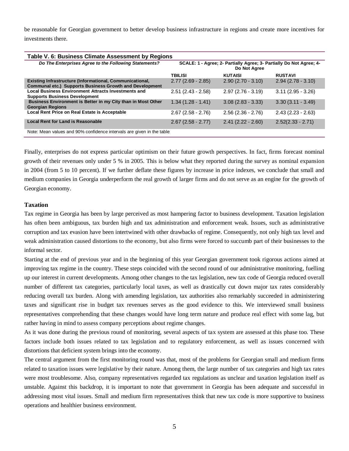be reasonable for Georgian government to better develop business infrastructure in regions and create more incentives for investments there.

| Table V. 6: Business Climate Assessment by Regions                                                                         |                                                                                     |                     |                     |
|----------------------------------------------------------------------------------------------------------------------------|-------------------------------------------------------------------------------------|---------------------|---------------------|
| Do The Enterprises Agree to the Following Statements?                                                                      | SCALE: 1 - Agree; 2- Partially Agree; 3- Partially Do Not Agree; 4-<br>Do Not Agree |                     |                     |
|                                                                                                                            | <b>TBILISI</b>                                                                      | <b>KUTAISI</b>      | <b>RUSTAVI</b>      |
| Existing Infrastructure (Informational, Communicational,<br><b>Communal etc.) Supports Business Growth and Development</b> | $2.77(2.69 - 2.85)$                                                                 | $2.90(2.70 - 3.10)$ | $2.94(2.78 - 3.10)$ |
| <b>Local Business Environment Attracts Investments and</b><br><b>Supports Business Development</b>                         | $2.51$ (2.43 - 2.58)                                                                | $2.97(2.76 - 3.19)$ | $3.11(2.95 - 3.26)$ |
| Business Environment is Better in my City than in Most Other<br><b>Georgian Regions</b>                                    | $1.34(1.28 - 1.41)$                                                                 | $3.08(2.83 - 3.33)$ | $3.30(3.11 - 3.49)$ |
| Local Rent Price on Real Estate is Acceptable                                                                              | $2.67(2.58 - 2.76)$                                                                 | $2.56(2.36 - 2.76)$ | $2.43(2.23 - 2.63)$ |
| <b>Local Rent for Land is Reasonable</b>                                                                                   | $2.67(2.58 - 2.77)$                                                                 | $2.41(2.22 - 2.60)$ | $2.52(2.33 - 2.71)$ |
| Note: Mean values and 90% confidence intervals are given in the table                                                      |                                                                                     |                     |                     |

Finally, enterprises do not express particular optimism on their future growth perspectives. In fact, firms forecast nominal growth of their revenues only under 5 % in 2005. This is below what they reported during the survey as nominal expansion in 2004 (from 5 to 10 percent). If we further deflate these figures by increase in price indexes, we conclude that small and medium companies in Georgia underperform the real growth of larger firms and do not serve as an engine for the growth of Georgian economy.

## **Taxation**

Tax regime in Georgia has been by large perceived as most hampering factor to business development. Taxation legislation has often been ambiguous, tax burden high and tax administration and enforcement weak. Issues, such as administrative corruption and tax evasion have been intertwined with other drawbacks of regime. Consequently, not only high tax level and weak administration caused distortions to the economy, but also firms were forced to succumb part of their businesses to the informal sector.

Starting at the end of previous year and in the beginning of this year Georgian government took rigorous actions aimed at improving tax regime in the country. These steps coincided with the second round of our administrative monitoring, fuelling up our interest in current developments. Among other changes to the tax legislation, new tax code of Georgia reduced overall number of different tax categories, particularly local taxes, as well as drastically cut down major tax rates considerably reducing overall tax burden. Along with amending legislation, tax authorities also remarkably succeeded in administering taxes and significant rise in budget tax revenues serves as the good evidence to this. We interviewed small business representatives comprehending that these changes would have long term nature and produce real effect with some lag, but rather having in mind to assess company perceptions about regime changes.

As it was done during the previous round of monitoring, several aspects of tax system are assessed at this phase too. These factors include both issues related to tax legislation and to regulatory enforcement, as well as issues concerned with distortions that deficient system brings into the economy.

The central argument from the first monitoring round was that, most of the problems for Georgian small and medium firms related to taxation issues were legislative by their nature. Among them, the large number of tax categories and high tax rates were most troublesome. Also, company representatives regarded tax regulations as unclear and taxation legislation itself as unstable. Against this backdrop, it is important to note that government in Georgia has been adequate and successful in addressing most vital issues. Small and medium firm representatives think that new tax code is more supportive to business operations and healthier business environment.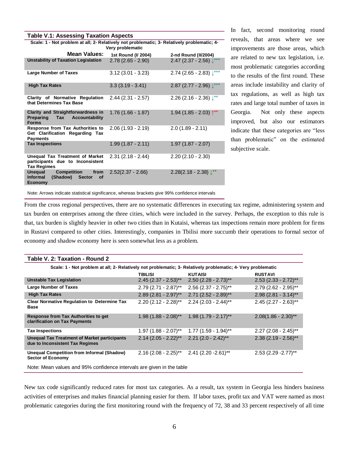| <b>Table V.1: Assessing Taxation Aspects</b>                                                                         |                     |                                       |  |  |
|----------------------------------------------------------------------------------------------------------------------|---------------------|---------------------------------------|--|--|
| Scale: 1 - Not problem at all; 2- Relatively not problematic; 3- Relatively problematic; 4-<br>Very problematic      |                     |                                       |  |  |
| <b>Mean Values:</b>                                                                                                  | 1st Round (I/ 2004) | 2-nd Round (II/2004)                  |  |  |
| <b>Unstability of Taxation Legislation</b>                                                                           | $2.78(2.65 - 2.90)$ | $2.47$ (2.37 - 2.56) $\downarrow$ *** |  |  |
| <b>Large Number of Taxes</b>                                                                                         | $3.12(3.01 - 3.23)$ | $2.74$ (2.65 - 2.83) $\downarrow***$  |  |  |
| <b>High Tax Rates</b>                                                                                                | $3.3(3.19 - 3.41)$  | 2.87 (2.77 - 2.96) $\downarrow$ ***   |  |  |
| Clarity of Normative Regulation<br>that Determines Tax Base                                                          | $2.44(2.31 - 2.57)$ | 2.26 (2.16 - 2.36) $\downarrow^{**}$  |  |  |
| <b>Clarity and Straightforwardness in</b><br>Preparing Tax<br>Accountability<br><b>Forms</b>                         | $1.76(1.66 - 1.87)$ | $1.94(1.85 - 2.03)$ <sup>**</sup>     |  |  |
| Response from Tax Authorities to<br>Get Clarification Regarding Tax<br><b>Payments</b>                               | $2.06(1.93 - 2.19)$ | $2.0(1.89 - 2.11)$                    |  |  |
| <b>Tax Inspections</b>                                                                                               | $1.99(1.87 - 2.11)$ | $1.97(1.87 - 2.07)$                   |  |  |
| Unequal Tax Treatment of Market<br>participants due to Inconsistent<br><b>Tax Regimes</b>                            | $2.31(2.18 - 2.44)$ | $2.20(2.10 - 2.30)$                   |  |  |
| <b>Unequal</b><br><b>Competition</b><br>from<br><b>Informal</b><br>(Shadow)<br><b>Sector</b><br>οf<br><b>Economy</b> | $2.52(2.37 - 2.66)$ | $2.28(2.18 - 2.38)$ $\downarrow^{**}$ |  |  |

In fact, second monitoring round reveals, that areas where we see improvements are those areas, which are related to new tax legislation, i.e. most problematic categories according to the results of the first round. These areas include instability and clarity of tax regulations, as well as high tax rates and large total number of taxes in Georgia. Not only these aspects improved, but also our estimators indicate that these categories are "less than problematic" on the estimated subjective scale.

Note: Arrows indicate statistical significance, whereas brackets give 99% confidence intervals

From the cross regional perspectives, there are no systematic differences in executing tax regime, administering system and tax burden on enterprises among the three cities, which were included in the survey. Perhaps, the exception to this rule is that, tax burden is slightly heavier in other two cities than in Kutaisi, whereas tax inspections remain more problem for firms in Rustavi compared to other cities. Interestingly, companies in Tbilisi more succumb their operations to formal sector of economy and shadow economy here is seen somewhat less as a problem.

| . UMIV 1. L. I UAULIVII                                                                                      |                        |                                    |                                    |  |
|--------------------------------------------------------------------------------------------------------------|------------------------|------------------------------------|------------------------------------|--|
| Scale: 1 - Not problem at all; 2- Relatively not problematic; 3- Relatively problematic; 4- Very problematic |                        |                                    |                                    |  |
|                                                                                                              | <b>TBILISI</b>         | <b>KUTAISI</b>                     | <b>RUSTAVI</b>                     |  |
| <b>Unstable Tax Legislation</b>                                                                              | $2.45$ (2.37 - 2.53)** | $2.50(2.28 - 2.73)$ **             | $2.53(2.33 - 2.72)$ **             |  |
| <b>Large Number of Taxes</b>                                                                                 | $2.79(2.71 - 2.87)$ ** | $2.56$ (2.37 - 2.75)**             | $2.79(2.62 - 2.95)$ **             |  |
| <b>High Tax Rates</b>                                                                                        | $2.89$ (2.81 - 2.97)** | $2.71$ (2.52 - 2.89)**             | $2.98$ (2.81 - 3.14)**             |  |
| <b>Clear Normative Regulation to Determine Tax</b><br>Base                                                   | $2.20$ (2.12 - 2.28)** | $2.24$ (2.03 - 2.44)**             | $2.45$ (2.27 - 2.63)**             |  |
| <b>Response from Tax Authorities to get</b><br>clarification on Tax Payments                                 | $1.98(1.88 - 2.08)$ ** | $1.98(1.79 - 2.17)$ **             | $2.08(1.86 - 2.30)$ **             |  |
| <b>Tax Inspections</b>                                                                                       | $1.97$ (1.88 - 2.07)** | $1.77(1.59 - 1.94)$ **             | $2.27$ (2.08 - 2.45)**             |  |
| <b>Unequal Tax Treatment of Market participants</b><br>due to Inconsistent Tax Regimes                       | $2.14$ (2.05 - 2.22)** | $2.21$ (2.0 - 2.42)**              | $2.38$ (2.19 - 2.56)**             |  |
| <b>Unequal Competition from Informal (Shadow)</b><br><b>Sector of Economy</b>                                | $2.16(2.08 - 2.25)$ ** | $2.41$ (2.20 - 2.61) <sup>**</sup> | $2.53$ (2.29 - 2.77) <sup>**</sup> |  |
| Note: Mean values and 95% confidence intervals are given in the table                                        |                        |                                    |                                    |  |

**Table V. 2: Taxation - Round 2**

New tax code significantly reduced rates for most tax categories. As a result, tax system in Georgia less hinders business activities of enterprises and makes financial planning easier for them. If labor taxes, profit tax and VAT were named as most problematic categories during the first monitoring round with the frequency of 72, 38 and 33 percent respectively of all time